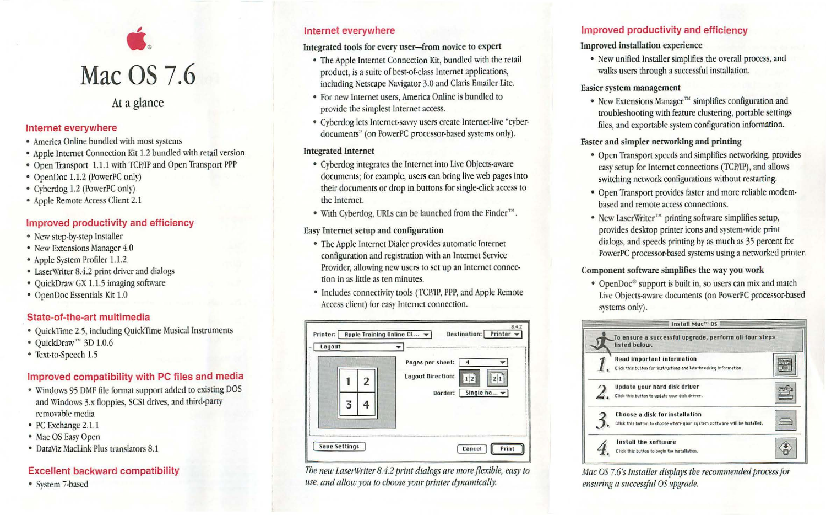

At a glance

#### Internet everywhere

- America Online bundled with most systems
- Apple Internet Connection Kit 1.2 bundled with retail version
- Open Transport 1.1.1 with TCP/IP and Open Transport PPP
- OpenDoc 1.1.2 (PowerPC only)
- Cyberdog 1.2 (PowerPC only)
- Apple Remote Access Client 2.1

## Improved productivity and efficiency

- New step-by-step Installer
- New Extensions Manager 4.0
- Apple System Profiler 1.1.2
- LaserWriter 8.4.2 print driver and dialogs
- QuickDraw GX 1.1.5 imaging software
- OpenDoc Essentials Kit 1.0

## State-of-the-art multimedia

- QuickTime 2.5, including QuickTime Musical Instruments
- QuickDraw<sup>™</sup> 3D 1.0.6
- Text-to-Speech 1.5

# Improved compatibility with PC files and media

- Windows 95 DMF Hle format support added to existing DOS and Windows 3.x floppies, SCSI drives, and third-party removable media
- PC Exchange 2.1.1
- Mac OS Easy Open
- DataViz Maclink Plus translators 8.1

# Excellent backward compatibility

• System 7-based

## Internet everywhere

#### Integrated tools for every user-from novice to expert

- The Apple Internet Connection Kit, bundled with the retail product, is a suite of best-of-class Internet applications, including Netscape Navigator 3.0 and Claris Emailer Lite.
- For new Internet users, America Online is bundled to provide the simplest Internet access.
- Cyberdog lets Internet-savvy users create Internet-live "cyberdocuments" (on PowerPC processor-based systems only).

## Integrated Internet

- Cybcrdog integrates the Internet into Live Objects-aware documents; for example, users can bring live web pages into their documents or drop in buttons for single-click access to the Internet.
- With Cyberdog, URLs can be launched from the Finder<sup>114</sup>.

#### Easy Internet setup and configuration

- The Apple Internet Dialer provides automatic Internet configuration and registration with an Internet Service Provider, allowing new users to set up an Internet connection in as little as ten minutes.
- Includes connectivity tools (TCP/fP, PPP, and Apple Remote Access client) for easy Internet connection.



*The new J.aser\Vriter 8. 4.2 print dialogs are more flexible, easy to use, and allow you to choose your printer dynamically.* 

## Improved productivity and efficiency

#### Improved installation experience

• New unified Installer simplifies the overall process, and walks users through a successful installation.

#### Easier system management

• New Extensions Manager<sup> $M$ </sup> simplifies configuration and troubleshooting with feature clustering, portable settings files, and exportable system configuration information.

#### Faster and simpler networking and printing

- Open Transport speeds and simplifies networking, provides easy setup for Internet connections (TCP/IP), and allows switching network configurations without restarting.
- Open Transport provides faster and more reliable modembased and remote access connections.
- New LaserWriter<sup> $m$ </sup> printing software simplifies setup, provides desktop printer icons and system-wide print dialogs, and speeds printing by as much as 35 percent for PowerPC processor-based systems using a networked printer.

#### Component software simplifies the way you work

• OpenDoc<sup>®</sup> support is built in, so users can mix and match Live Objects-aware documents (on PowerPC processor-based systems only).



*Mac OS 7.6's Installer displays tbe recommended process for ensuring a successful OS upgrade.*